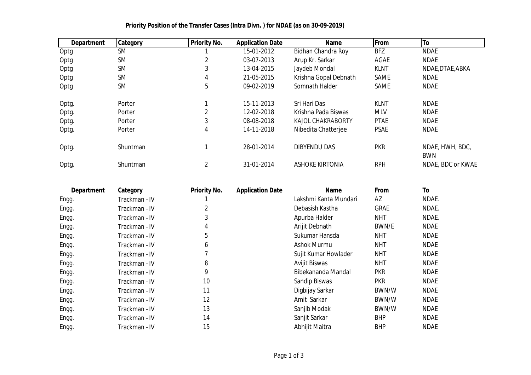| <b>Department</b> | <b>Category</b> | <b>Priority No.</b> | <b>Application Date</b> | <b>Name</b>              | From        | To                            |
|-------------------|-----------------|---------------------|-------------------------|--------------------------|-------------|-------------------------------|
| Optg              | <b>SM</b>       |                     | 15-01-2012              | Bidhan Chandra Roy       | <b>BFZ</b>  | <b>NDAE</b>                   |
| Optg              | <b>SM</b>       | 2                   | 03-07-2013              | Arup Kr. Sarkar          | AGAE        | <b>NDAE</b>                   |
| Optg              | <b>SM</b>       | 3                   | 13-04-2015              | Jaydeb Mondal            | <b>KLNT</b> | NDAE, DTAE, ABKA              |
| Optg              | <b>SM</b>       | 4                   | 21-05-2015              | Krishna Gopal Debnath    | <b>SAME</b> | <b>NDAE</b>                   |
| Optg              | <b>SM</b>       | 5                   | 09-02-2019              | Somnath Halder           | <b>SAME</b> | <b>NDAE</b>                   |
| Optg.             | Porter          |                     | 15-11-2013              | Sri Hari Das             | <b>KLNT</b> | <b>NDAE</b>                   |
| Optg.             | Porter          | $\overline{2}$      | 12-02-2018              | Krishna Pada Biswas      | <b>MLV</b>  | <b>NDAE</b>                   |
| Optg.             | Porter          | 3                   | 08-08-2018              | <b>KAJOL CHAKRABORTY</b> | <b>PTAE</b> | <b>NDAE</b>                   |
| Optg.             | Porter          | 4                   | 14-11-2018              | Nibedita Chatterjee      | <b>PSAE</b> | <b>NDAE</b>                   |
| Optg.             | <b>Shuntman</b> |                     | 28-01-2014              | <b>DIBYENDU DAS</b>      | <b>PKR</b>  | NDAE, HWH, BDC,<br><b>BWN</b> |
| Optg.             | Shuntman        | 2                   | 31-01-2014              | <b>ASHOKE KIRTONIA</b>   | <b>RPH</b>  | NDAE, BDC or KWAE             |

## **Priority Position of the Transfer Cases (Intra Divn. ) for NDAE (as on 30-09-2019)**

| <b>Department</b> | Category     | <b>Priority No.</b> | <b>Application Date</b> | <b>Name</b>           | From        | To          |
|-------------------|--------------|---------------------|-------------------------|-----------------------|-------------|-------------|
| Engg.             | Trackman-IV  |                     |                         | Lakshmi Kanta Mundari | AZ          | NDAE.       |
| Engg.             | Trackman-IV  |                     |                         | Debasish Kastha       | <b>GRAE</b> | NDAE.       |
| Engg.             | Trackman-IV  | 3                   |                         | Apurba Halder         | <b>NHT</b>  | NDAE.       |
| Engg.             | Trackman-IV  | 4                   |                         | Arijit Debnath        | BWN/E       | <b>NDAE</b> |
| Engg.             | Trackman-IV  | 5                   |                         | Sukumar Hansda        | NHT         | <b>NDAE</b> |
| Engg.             | Trackman-IV  | 6                   |                         | Ashok Murmu           | <b>NHT</b>  | <b>NDAE</b> |
| Engg.             | Trackman-IV  |                     |                         | Sujit Kumar Howlader  | <b>NHT</b>  | <b>NDAE</b> |
| Engg.             | Trackman-IV  | 8                   |                         | <b>Avijit Biswas</b>  | NHT         | <b>NDAE</b> |
| Engg.             | Trackman-IV  | 9                   |                         | Bibekananda Mandal    | <b>PKR</b>  | <b>NDAE</b> |
| Engg.             | Trackman-IV  | 10                  |                         | Sandip Biswas         | <b>PKR</b>  | <b>NDAE</b> |
| Engg.             | Trackman-IV  | 11                  |                         | Digbijay Sarkar       | BWN/W       | <b>NDAE</b> |
| Engg.             | Trackman-IV  | 12                  |                         | Amit Sarkar           | BWN/W       | <b>NDAE</b> |
| Engg.             | Trackman-IV  | 13                  |                         | Sanjib Modak          | BWN/W       | <b>NDAE</b> |
| Engg.             | Trackman-IV  | 14                  |                         | Sanjit Sarkar         | <b>BHP</b>  | <b>NDAE</b> |
| Engg.             | Trackman –IV | 15                  |                         | Abhijit Maitra        | <b>BHP</b>  | <b>NDAE</b> |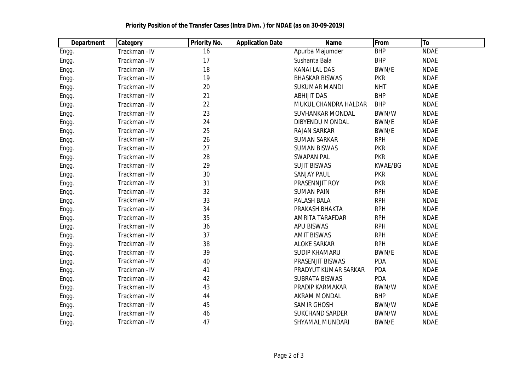| <b>Department</b> | <b>Category</b> | <b>Priority No.</b> | <b>Application Date</b> | <b>Name</b>             | From         | To          |
|-------------------|-----------------|---------------------|-------------------------|-------------------------|--------------|-------------|
| Engg.             | Trackman-IV     | 16                  |                         | Apurba Majumder         | <b>BHP</b>   | <b>NDAE</b> |
| Engg.             | Trackman-IV     | 17                  |                         | Sushanta Bala           | <b>BHP</b>   | <b>NDAE</b> |
| Engg.             | Trackman-IV     | 18                  |                         | <b>KANAI LAL DAS</b>    | BWN/E        | <b>NDAE</b> |
| Engg.             | Trackman-IV     | 19                  |                         | <b>BHASKAR BISWAS</b>   | <b>PKR</b>   | <b>NDAE</b> |
| Engg.             | Trackman-IV     | 20                  |                         | <b>SUKUMAR MANDI</b>    | <b>NHT</b>   | <b>NDAE</b> |
| Engg.             | Trackman-IV     | 21                  |                         | <b>ABHIJIT DAS</b>      | <b>BHP</b>   | <b>NDAE</b> |
| Engg.             | Trackman-IV     | 22                  |                         | MUKUL CHANDRA HALDAR    | <b>BHP</b>   | <b>NDAE</b> |
| Engg.             | Trackman-IV     | 23                  |                         | <b>SUVHANKAR MONDAL</b> | BWN/W        | <b>NDAE</b> |
| Engg.             | Trackman-IV     | 24                  |                         | <b>DIBYENDU MONDAL</b>  | BWN/E        | <b>NDAE</b> |
| Engg.             | Trackman-IV     | 25                  |                         | <b>RAJAN SARKAR</b>     | BWN/E        | <b>NDAE</b> |
| Engg.             | Trackman-IV     | 26                  |                         | <b>SUMAN SARKAR</b>     | <b>RPH</b>   | <b>NDAE</b> |
| Engg.             | Trackman-IV     | 27                  |                         | <b>SUMAN BISWAS</b>     | <b>PKR</b>   | <b>NDAE</b> |
| Engg.             | Trackman-IV     | 28                  |                         | <b>SWAPAN PAL</b>       | <b>PKR</b>   | <b>NDAE</b> |
| Engg.             | Trackman-IV     | 29                  |                         | <b>SUJIT BISWAS</b>     | KWAE/BG      | <b>NDAE</b> |
| Engg.             | Trackman-IV     | 30                  |                         | <b>SANJAY PAUL</b>      | <b>PKR</b>   | <b>NDAE</b> |
| Engg.             | Trackman-IV     | 31                  |                         | PRASENNJIT ROY          | <b>PKR</b>   | <b>NDAE</b> |
| Engg.             | Trackman-IV     | 32                  |                         | <b>SUMAN PAIN</b>       | <b>RPH</b>   | <b>NDAE</b> |
| Engg.             | Trackman-IV     | 33                  |                         | PALASH BALA             | <b>RPH</b>   | <b>NDAE</b> |
| Engg.             | Trackman-IV     | 34                  |                         | PRAKASH BHAKTA          | <b>RPH</b>   | <b>NDAE</b> |
| Engg.             | Trackman-IV     | 35                  |                         | AMRITA TARAFDAR         | <b>RPH</b>   | <b>NDAE</b> |
| Engg.             | Trackman-IV     | 36                  |                         | <b>APU BISWAS</b>       | <b>RPH</b>   | <b>NDAE</b> |
| Engg.             | Trackman-IV     | 37                  |                         | <b>AMIT BISWAS</b>      | <b>RPH</b>   | <b>NDAE</b> |
| Engg.             | Trackman-IV     | 38                  |                         | <b>ALOKE SARKAR</b>     | <b>RPH</b>   | <b>NDAE</b> |
| Engg.             | Trackman-IV     | 39                  |                         | <b>SUDIP KHAMARU</b>    | BWN/E        | <b>NDAE</b> |
| Engg.             | Trackman-IV     | 40                  |                         | PRASENJIT BISWAS        | PDA          | <b>NDAE</b> |
| Engg.             | Trackman-IV     | 41                  |                         | PRADYUT KUMAR SARKAR    | PDA          | <b>NDAE</b> |
| Engg.             | Trackman-IV     | 42                  |                         | <b>SUBRATA BISWAS</b>   | PDA          | <b>NDAE</b> |
| Engg.             | Trackman-IV     | 43                  |                         | PRADIP KARMAKAR         | BWN/W        | <b>NDAE</b> |
| Engg.             | Trackman-IV     | 44                  |                         | <b>AKRAM MONDAL</b>     | <b>BHP</b>   | <b>NDAE</b> |
| Engg.             | Trackman-IV     | 45                  |                         | <b>SAMIR GHOSH</b>      | BWN/W        | <b>NDAE</b> |
| Engg.             | Trackman-IV     | 46                  |                         | <b>SUKCHAND SARDER</b>  | BWN/W        | <b>NDAE</b> |
| Engg.             | Trackman-IV     | 47                  |                         | <b>SHYAMAL MUNDARI</b>  | <b>BWN/E</b> | <b>NDAE</b> |

## **Priority Position of the Transfer Cases (Intra Divn. ) for NDAE (as on 30-09-2019)**